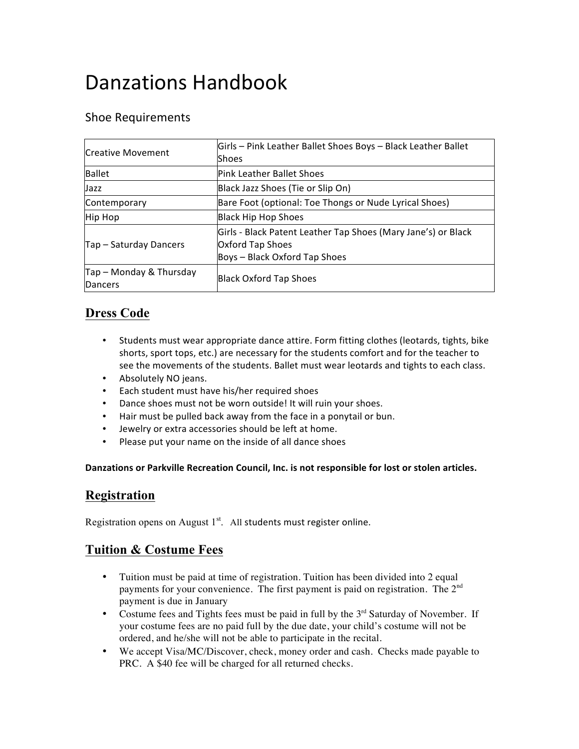# Danzations Handbook

## Shoe Requirements

| Creative Movement                  | Girls - Pink Leather Ballet Shoes Boys - Black Leather Ballet<br><b>Shoes</b>                                      |
|------------------------------------|--------------------------------------------------------------------------------------------------------------------|
| Ballet                             | lPink Leather Ballet Shoes                                                                                         |
| Jazz                               | Black Jazz Shoes (Tie or Slip On)                                                                                  |
| Contemporary                       | Bare Foot (optional: Toe Thongs or Nude Lyrical Shoes)                                                             |
| Hip Hop                            | Black Hip Hop Shoes                                                                                                |
| Tap - Saturday Dancers             | Girls - Black Patent Leather Tap Shoes (Mary Jane's) or Black<br>Oxford Tap Shoes<br>Boys - Black Oxford Tap Shoes |
| Tap - Monday & Thursday<br>Dancers | <b>Black Oxford Tap Shoes</b>                                                                                      |

#### **Dress Code**

- Students must wear appropriate dance attire. Form fitting clothes (leotards, tights, bike shorts, sport tops, etc.) are necessary for the students comfort and for the teacher to see the movements of the students. Ballet must wear leotards and tights to each class.
- Absolutely NO jeans.
- Each student must have his/her required shoes
- Dance shoes must not be worn outside! It will ruin your shoes.
- Hair must be pulled back away from the face in a ponytail or bun.
- Jewelry or extra accessories should be left at home.
- Please put your name on the inside of all dance shoes

#### Danzations or Parkville Recreation Council, Inc. is not responsible for lost or stolen articles.

## **Registration**

Registration opens on August  $1<sup>st</sup>$ . All students must register online.

## **Tuition & Costume Fees**

- Tuition must be paid at time of registration. Tuition has been divided into 2 equal payments for your convenience. The first payment is paid on registration. The 2nd payment is due in January
- Costume fees and Tights fees must be paid in full by the  $3<sup>rd</sup>$  Saturday of November. If your costume fees are no paid full by the due date, your child's costume will not be ordered, and he/she will not be able to participate in the recital.
- We accept Visa/MC/Discover, check, money order and cash. Checks made payable to PRC. A \$40 fee will be charged for all returned checks.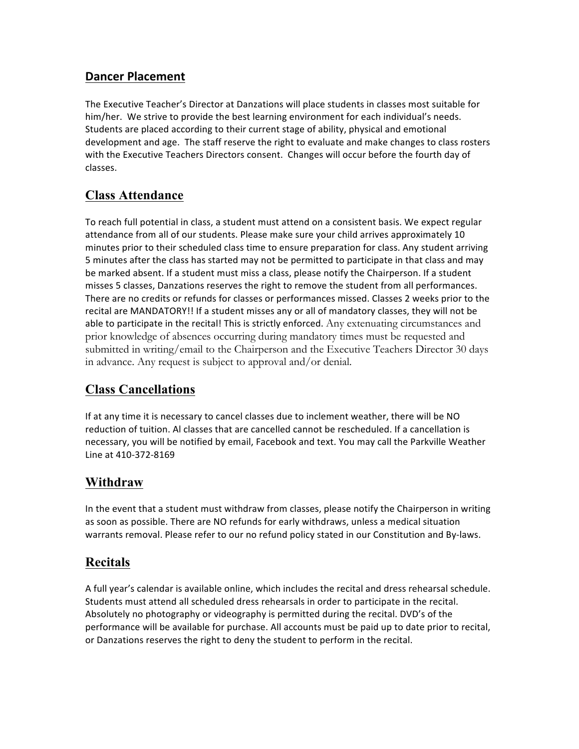#### **Dancer Placement**

The Executive Teacher's Director at Danzations will place students in classes most suitable for him/her. We strive to provide the best learning environment for each individual's needs. Students are placed according to their current stage of ability, physical and emotional development and age. The staff reserve the right to evaluate and make changes to class rosters with the Executive Teachers Directors consent. Changes will occur before the fourth day of classes.

# **Class Attendance**

To reach full potential in class, a student must attend on a consistent basis. We expect regular attendance from all of our students. Please make sure your child arrives approximately 10 minutes prior to their scheduled class time to ensure preparation for class. Any student arriving 5 minutes after the class has started may not be permitted to participate in that class and may be marked absent. If a student must miss a class, please notify the Chairperson. If a student misses 5 classes, Danzations reserves the right to remove the student from all performances. There are no credits or refunds for classes or performances missed. Classes 2 weeks prior to the recital are MANDATORY!! If a student misses any or all of mandatory classes, they will not be able to participate in the recital! This is strictly enforced. Any extenuating circumstances and prior knowledge of absences occurring during mandatory times must be requested and submitted in writing/email to the Chairperson and the Executive Teachers Director 30 days in advance. Any request is subject to approval and/or denial.

# **Class Cancellations**

If at any time it is necessary to cancel classes due to inclement weather, there will be NO reduction of tuition. Al classes that are cancelled cannot be rescheduled. If a cancellation is necessary, you will be notified by email, Facebook and text. You may call the Parkville Weather Line at 410-372-8169 

# **Withdraw**

In the event that a student must withdraw from classes, please notify the Chairperson in writing as soon as possible. There are NO refunds for early withdraws, unless a medical situation warrants removal. Please refer to our no refund policy stated in our Constitution and By-laws.

# **Recitals**

A full year's calendar is available online, which includes the recital and dress rehearsal schedule. Students must attend all scheduled dress rehearsals in order to participate in the recital. Absolutely no photography or videography is permitted during the recital. DVD's of the performance will be available for purchase. All accounts must be paid up to date prior to recital, or Danzations reserves the right to deny the student to perform in the recital.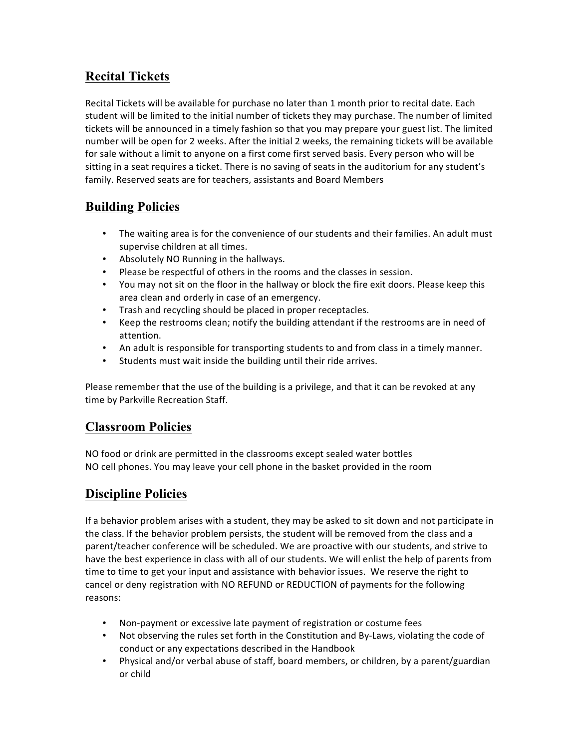# **Recital Tickets**

Recital Tickets will be available for purchase no later than 1 month prior to recital date. Each student will be limited to the initial number of tickets they may purchase. The number of limited tickets will be announced in a timely fashion so that you may prepare your guest list. The limited number will be open for 2 weeks. After the initial 2 weeks, the remaining tickets will be available for sale without a limit to anyone on a first come first served basis. Every person who will be sitting in a seat requires a ticket. There is no saving of seats in the auditorium for any student's family. Reserved seats are for teachers, assistants and Board Members

# **Building Policies**

- The waiting area is for the convenience of our students and their families. An adult must supervise children at all times.
- Absolutely NO Running in the hallways.
- Please be respectful of others in the rooms and the classes in session.
- You may not sit on the floor in the hallway or block the fire exit doors. Please keep this area clean and orderly in case of an emergency.
- Trash and recycling should be placed in proper receptacles.
- Keep the restrooms clean; notify the building attendant if the restrooms are in need of attention.
- An adult is responsible for transporting students to and from class in a timely manner.
- Students must wait inside the building until their ride arrives.

Please remember that the use of the building is a privilege, and that it can be revoked at any time by Parkville Recreation Staff.

## **Classroom Policies**

NO food or drink are permitted in the classrooms except sealed water bottles NO cell phones. You may leave your cell phone in the basket provided in the room

# **Discipline Policies**

If a behavior problem arises with a student, they may be asked to sit down and not participate in the class. If the behavior problem persists, the student will be removed from the class and a parent/teacher conference will be scheduled. We are proactive with our students, and strive to have the best experience in class with all of our students. We will enlist the help of parents from time to time to get your input and assistance with behavior issues. We reserve the right to cancel or deny registration with NO REFUND or REDUCTION of payments for the following reasons: 

- Non-payment or excessive late payment of registration or costume fees
- Not observing the rules set forth in the Constitution and By-Laws, violating the code of conduct or any expectations described in the Handbook
- Physical and/or verbal abuse of staff, board members, or children, by a parent/guardian or child